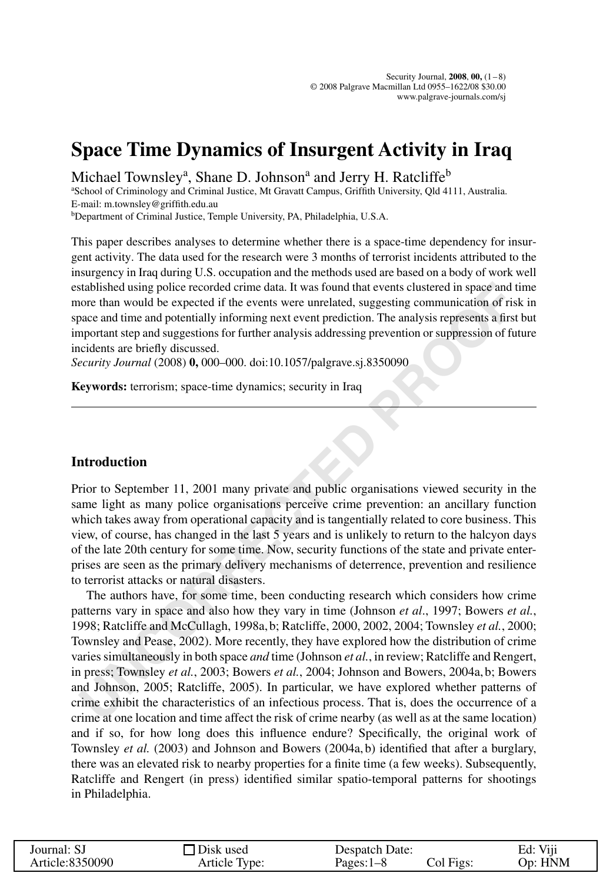# **Space Time Dynamics of Insurgent Activity in Iraq**

Michael Townsley<sup>a</sup>, Shane D. Johnson<sup>a</sup> and Jerry H. Ratcliffe<sup>b</sup>

<sup>a</sup>School of Criminology and Criminal Justice, Mt Gravatt Campus, Griffith University, Qld 4111, Australia. E-mail: m.townsley@griffith.edu.au

<sup>b</sup>Department of Criminal Justice, Temple University, PA, Philadelphia, U.S.A.

 This paper describes analyses to determine whether there is a space-time dependency for insurgent activity. The data used for the research were 3 months of terrorist incidents attributed to the insurgency in Iraq during U.S. occupation and the methods used are based on a body of work well established using police recorded crime data. It was found that events clustered in space and time more than would be expected if the events were unrelated, suggesting communication of risk in space and time and potentially informing next event prediction. The analysis represents a first but important step and suggestions for further analysis addressing prevention or suppression of future incidents are briefly discussed.

*Security Journal* (2008) **0,** 000 – 000. doi: 10.1057/palgrave.sj.8350090

Keywords: terrorism; space-time dynamics; security in Iraq

## **Introduction**

 Prior to September 11, 2001 many private and public organisations viewed security in the same light as many police organisations perceive crime prevention: an ancillary function which takes away from operational capacity and is tangentially related to core business. This view, of course, has changed in the last 5 years and is unlikely to return to the halcyon days of the late 20th century for some time. Now, security functions of the state and private enterprises are seen as the primary delivery mechanisms of deterrence, prevention and resilience to terrorist attacks or natural disasters.

Atablished using police recorded crime data. It was found that events clustered in space and the<br>once than would be expected if the events were unrelated, suggesting communication of riss<br>oace and time and potentially info The authors have, for some time, been conducting research which considers how crime patterns vary in space and also how they vary in time (Johnson *et al.*, 1997; Bowers *et al.*, 1998; Ratcliffe and McCullagh, 1998a, b; Ratcliffe, 2000, 2002, 2004; Townsley *et al.*, 2000; Townsley and Pease, 2002 ). More recently, they have explored how the distribution of crime varies simultaneously in both space *and* time ( Johnson *et al.* , in review ; Ratcliffe and Rengert, in press; Townsley *et al.*, 2003; Bowers *et al.*, 2004; Johnson and Bowers, 2004a, b; Bowers and Johnson, 2005; Ratcliffe, 2005). In particular, we have explored whether patterns of crime exhibit the characteristics of an infectious process. That is, does the occurrence of a crime at one location and time affect the risk of crime nearby (as well as at the same location) and if so, for how long does this influence endure? Specifically, the original work of Townsley *et al.* (2003) and Johnson and Bowers (2004a, b) identified that after a burglary, there was an elevated risk to nearby properties for a finite time (a few weeks). Subsequently, Ratcliffe and Rengert (in press) identified similar spatio-temporal patterns for shootings in Philadelphia.

| Journal: SJ     | Disk used     |           | Despatch Date: |         |
|-----------------|---------------|-----------|----------------|---------|
| Article:8350090 | Article Type: | Pages: 1– | Col Figs:      | Op: HNM |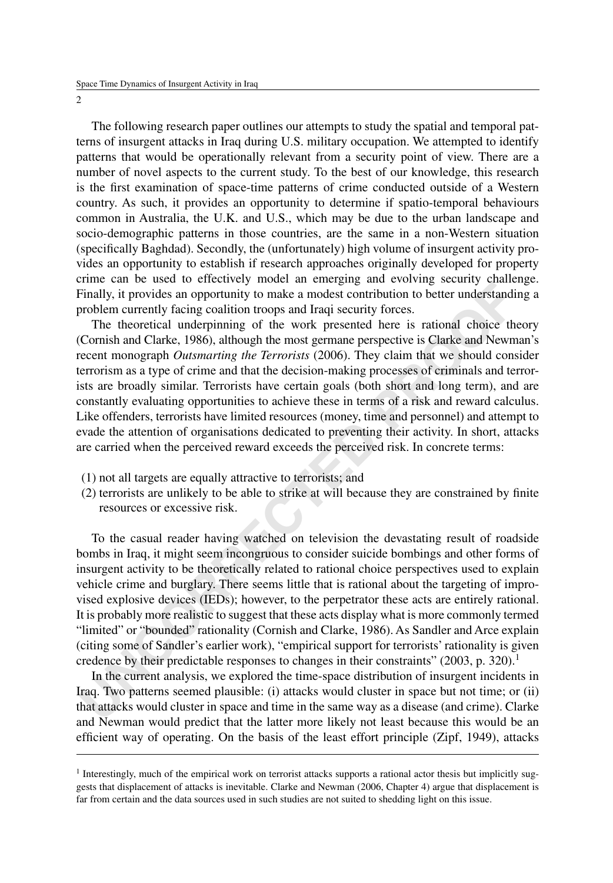The following research paper outlines our attempts to study the spatial and temporal patterns of insurgent attacks in Iraq during U.S. military occupation. We attempted to identify patterns that would be operationally relevant from a security point of view. There are a number of novel aspects to the current study. To the best of our knowledge, this research is the first examination of space-time patterns of crime conducted outside of a Western country. As such, it provides an opportunity to determine if spatio-temporal behaviours common in Australia, the U.K. and U.S., which may be due to the urban landscape and socio-demographic patterns in those countries, are the same in a non-Western situation (specifically Baghdad). Secondly, the (unfortunately) high volume of insurgent activity provides an opportunity to establish if research approaches originally developed for property crime can be used to effectively model an emerging and evolving security challenge. Finally, it provides an opportunity to make a modest contribution to better understanding a problem currently facing coalition troops and Iraqi security forces.

 The theoretical underpinning of the work presented here is rational choice theory (Cornish and Clarke, 1986), although the most germane perspective is Clarke and Newman's recent monograph *Outsmarting the Terrorists* (2006). They claim that we should consider terrorism as a type of crime and that the decision-making processes of criminals and terrorists are broadly similar. Terrorists have certain goals (both short and long term), and are constantly evaluating opportunities to achieve these in terms of a risk and reward calculus. Like offenders, terrorists have limited resources (money, time and personnel) and attempt to evade the attention of organisations dedicated to preventing their activity. In short, attacks are carried when the perceived reward exceeds the perceived risk. In concrete terms:

- (1) not all targets are equally attractive to terrorists; and
- $(2)$  terrorists are unlikely to be able to strike at will because they are constrained by finite resources or excessive risk.

Finally, it provides an opportunity to make a modest contribution to better understandinoplem currently facial rot control of the three control and Iraqi security forces.<br>The theoretical underpinning of the work presented To the casual reader having watched on television the devastating result of roadside bombs in Iraq, it might seem incongruous to consider suicide bombings and other forms of insurgent activity to be theoretically related to rational choice perspectives used to explain vehicle crime and burglary. There seems little that is rational about the targeting of improvised explosive devices (IEDs); however, to the perpetrator these acts are entirely rational. It is probably more realistic to suggest that these acts display what is more commonly termed "limited" or "bounded" rationality (Cornish and Clarke, 1986). As Sandler and Arce explain (citing some of Sandler's earlier work), "empirical support for terrorists' rationality is given credence by their predictable responses to changes in their constraints"  $(2003, p. 320)^{1}$ 

 In the current analysis, we explored the time-space distribution of insurgent incidents in Iraq. Two patterns seemed plausible: (i) attacks would cluster in space but not time; or (ii) that attacks would cluster in space and time in the same way as a disease (and crime). Clarke and Newman would predict that the latter more likely not least because this would be an efficient way of operating. On the basis of the least effort principle (Zipf, 1949), attacks

<sup>&</sup>lt;sup>1</sup> Interestingly, much of the empirical work on terrorist attacks supports a rational actor thesis but implicitly suggests that displacement of attacks is inevitable. Clarke and Newman (2006, Chapter 4) argue that displacement is far from certain and the data sources used in such studies are not suited to shedding light on this issue.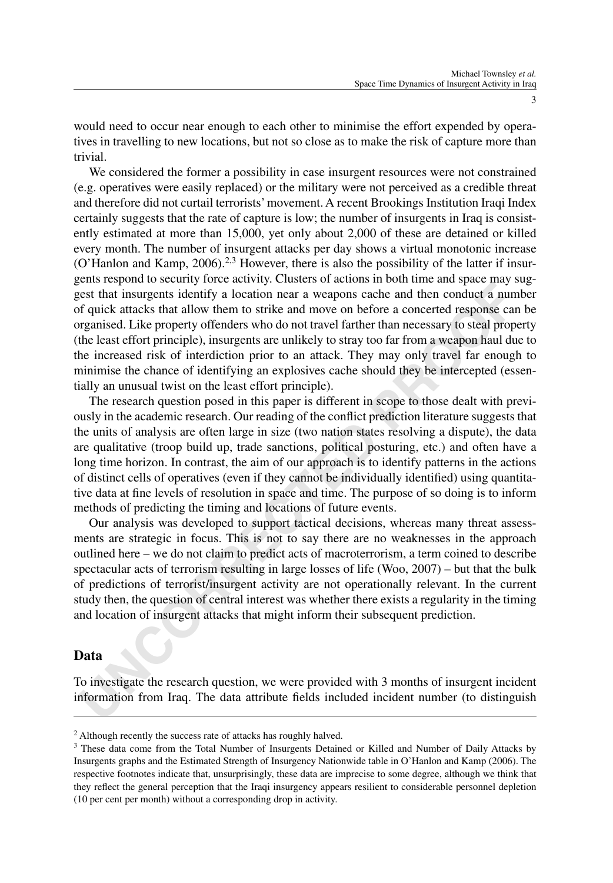would need to occur near enough to each other to minimise the effort expended by operatives in travelling to new locations, but not so close as to make the risk of capture more than trivial.

 We considered the former a possibility in case insurgent resources were not constrained (e.g. operatives were easily replaced) or the military were not perceived as a credible threat and therefore did not curtail terrorists ' movement. A recent Brookings Institution Iraqi Index certainly suggests that the rate of capture is low; the number of insurgents in Iraq is consistently estimated at more than 15,000, yet only about 2,000 of these are detained or killed every month. The number of insurgent attacks per day shows a virtual monotonic increase (O'Hanlon and Kamp, 2006).<sup>2,3</sup> However, there is also the possibility of the latter if insurgents respond to security force activity. Clusters of actions in both time and space may suggest that insurgents identify a location near a weapons cache and then conduct a number of quick attacks that allow them to strike and move on before a concerted response can be organised. Like property offenders who do not travel farther than necessary to steal property (the least effort principle), insurgents are unlikely to stray too far from a weapon haul due to the increased risk of interdiction prior to an attack. They may only travel far enough to minimise the chance of identifying an explosives cache should they be intercepted (essentially an unusual twist on the least effort principle).

East that insurgents identity a location near a weapons cache and then conduct a num<br>the distarks that insurgents identity a location near a weapons cache and then conduct a num<br>quivalent starks that allow them to strike a The research question posed in this paper is different in scope to those dealt with previously in the academic research. Our reading of the conflict prediction literature suggests that the units of analysis are often large in size (two nation states resolving a dispute), the data are qualitative (troop build up, trade sanctions, political posturing, etc.) and often have a long time horizon. In contrast, the aim of our approach is to identify patterns in the actions of distinct cells of operatives (even if they cannot be individually identified) using quantitative data at fine levels of resolution in space and time. The purpose of so doing is to inform methods of predicting the timing and locations of future events.

 Our analysis was developed to support tactical decisions, whereas many threat assessments are strategic in focus. This is not to say there are no weaknesses in the approach outlined here – we do not claim to predict acts of macroterrorism, a term coined to describe spectacular acts of terrorism resulting in large losses of life (Woo, 2007) – but that the bulk of predictions of terrorist/insurgent activity are not operationally relevant. In the current study then, the question of central interest was whether there exists a regularity in the timing and location of insurgent attacks that might inform their subsequent prediction.

#### **Data**

 To investigate the research question, we were provided with 3 months of insurgent incident information from Iraq. The data attribute fields included incident number (to distinguish

<sup>&</sup>lt;sup>2</sup> Although recently the success rate of attacks has roughly halved.

<sup>&</sup>lt;sup>3</sup> These data come from the Total Number of Insurgents Detained or Killed and Number of Daily Attacks by Insurgents graphs and the Estimated Strength of Insurgency Nationwide table in O ' Hanlon and Kamp (2006) . The respective footnotes indicate that, unsurprisingly, these data are imprecise to some degree, although we think that they reflect the general perception that the Iraqi insurgency appears resilient to considerable personnel depletion (10 per cent per month) without a corresponding drop in activity.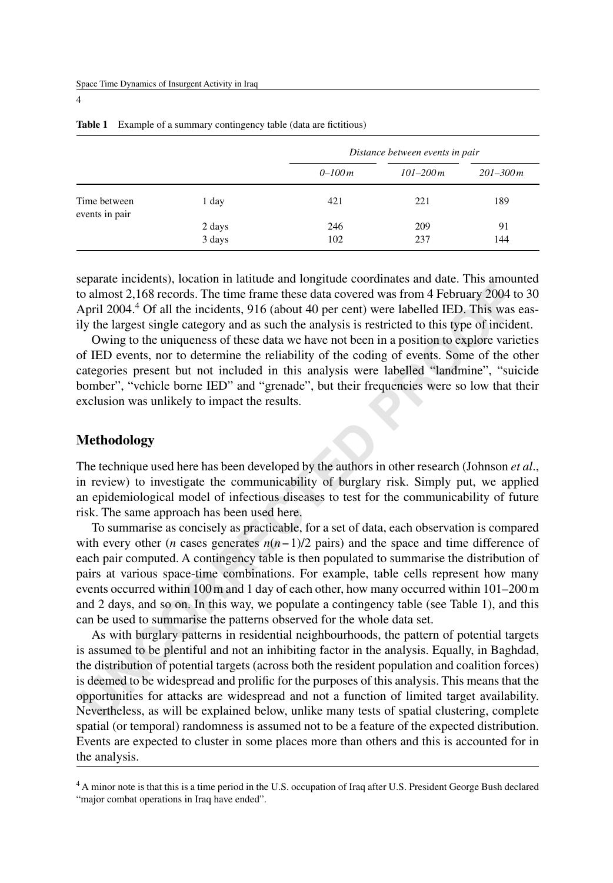|                                |        | Distance between events in pair |              |              |
|--------------------------------|--------|---------------------------------|--------------|--------------|
|                                |        | $0 - 100m$                      | $101 - 200m$ | $201 - 300m$ |
| Time between<br>events in pair | 1 day  | 421                             | 221          | 189          |
|                                | 2 days | 246                             | 209          | 91           |
|                                | 3 days | 102                             | 237          | 144          |

#### **Table 1** Example of a summary contingency table (data are fictitious)

separate incidents), location in latitude and longitude coordinates and date. This amounted to almost 2,168 records. The time frame these data covered was from 4 February 2004 to 30 April 2004.<sup>4</sup> Of all the incidents, 916 (about 40 per cent) were labelled IED. This was easily the largest single category and as such the analysis is restricted to this type of incident.

 Owing to the uniqueness of these data we have not been in a position to explore varieties of IED events, nor to determine the reliability of the coding of events. Some of the other categories present but not included in this analysis were labelled "landmine", "suicide bomber", "vehicle borne IED" and "grenade", but their frequencies were so low that their exclusion was unlikely to impact the results.

#### **Methodology**

 The technique used here has been developed by the authors in other research ( Johnson *et al* ., in review) to investigate the communicability of burglary risk. Simply put, we applied an epidemiological model of infectious diseases to test for the communicability of future risk. The same approach has been used here.

**Expansive to the incidents.** 916 (about 40 per early and the set time that is a sample of land the incidents. 916 (about 40 per cent) were labelled IED. This was the algo of whil the incidents, 916 (about 40 per cent) we To summarise as concisely as practicable, for a set of data, each observation is compared with every other (*n* cases generates  $n(n-1)/2$  pairs) and the space and time difference of each pair computed. A contingency table is then populated to summarise the distribution of pairs at various space-time combinations. For example, table cells represent how many events occurred within 100 m and 1 day of each other, how many occurred within 101-200 m and 2 days, and so on. In this way, we populate a contingency table (see Table 1 ), and this can be used to summarise the patterns observed for the whole data set.

 As with burglary patterns in residential neighbourhoods, the pattern of potential targets is assumed to be plentiful and not an inhibiting factor in the analysis. Equally, in Baghdad, the distribution of potential targets (across both the resident population and coalition forces) is deemed to be widespread and prolific for the purposes of this analysis. This means that the opportunities for attacks are widespread and not a function of limited target availability. Nevertheless, as will be explained below, unlike many tests of spatial clustering, complete spatial (or temporal) randomness is assumed not to be a feature of the expected distribution. Events are expected to cluster in some places more than others and this is accounted for in the analysis.

<sup>4</sup> A minor note is that this is a time period in the U.S. occupation of Iraq after U.S. President George Bush declared " major combat operations in Iraq have ended".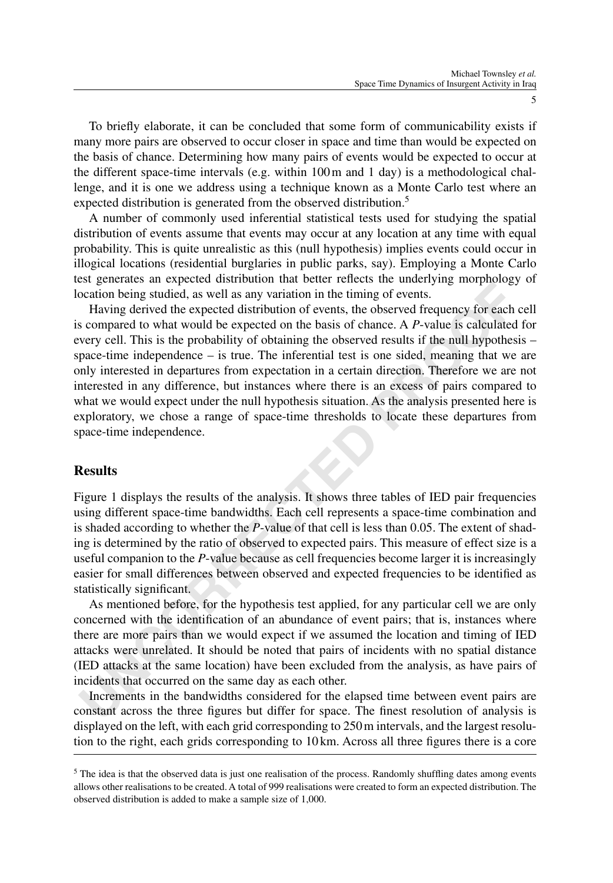To briefly elaborate, it can be concluded that some form of communicability exists if many more pairs are observed to occur closer in space and time than would be expected on the basis of chance. Determining how many pairs of events would be expected to occur at the different space-time intervals (e.g. within 100 m and 1 day) is a methodological challenge, and it is one we address using a technique known as a Monte Carlo test where an expected distribution is generated from the observed distribution.<sup>5</sup>

 A number of commonly used inferential statistical tests used for studying the spatial distribution of events assume that events may occur at any location at any time with equal probability. This is quite unrealistic as this (null hypothesis) implies events could occur in illogical locations (residential burglaries in public parks, say). Employing a Monte Carlo test generates an expected distribution that better reflects the underlying morphology of location being studied, as well as any variation in the timing of events.

Example the expected distribution of events, the boost continuo being studied, as well as any variation in the timing of events.<br>
Having derived the expected of the total between the compared to what would be expected on t Having derived the expected distribution of events, the observed frequency for each cell is compared to what would be expected on the basis of chance. A *P* -value is calculated for every cell. This is the probability of obtaining the observed results if the null hypothesis – space-time independence – is true. The inferential test is one sided, meaning that we are only interested in departures from expectation in a certain direction. Therefore we are not interested in any difference, but instances where there is an excess of pairs compared to what we would expect under the null hypothesis situation. As the analysis presented here is exploratory, we chose a range of space-time thresholds to locate these departures from space-time independence.

#### **Results**

 Figure 1 displays the results of the analysis. It shows three tables of IED pair frequencies using different space-time bandwidths. Each cell represents a space-time combination and is shaded according to whether the *P*-value of that cell is less than 0.05. The extent of shading is determined by the ratio of observed to expected pairs. This measure of effect size is a useful companion to the *P* -value because as cell frequencies become larger it is increasingly easier for small differences between observed and expected frequencies to be identified as statistically significant.

 As mentioned before, for the hypothesis test applied, for any particular cell we are only concerned with the identification of an abundance of event pairs; that is, instances where there are more pairs than we would expect if we assumed the location and timing of IED attacks were unrelated. It should be noted that pairs of incidents with no spatial distance (IED attacks at the same location) have been excluded from the analysis, as have pairs of incidents that occurred on the same day as each other.

 Increments in the bandwidths considered for the elapsed time between event pairs are constant across the three figures but differ for space. The finest resolution of analysis is displayed on the left, with each grid corresponding to 250 m intervals, and the largest resolution to the right, each grids corresponding to  $10 \text{ km}$ . Across all three figures there is a core

 $<sup>5</sup>$  The idea is that the observed data is just one realisation of the process. Randomly shuffling dates among events</sup> allows other realisations to be created. A total of 999 realisations were created to form an expected distribution. The observed distribution is added to make a sample size of 1,000.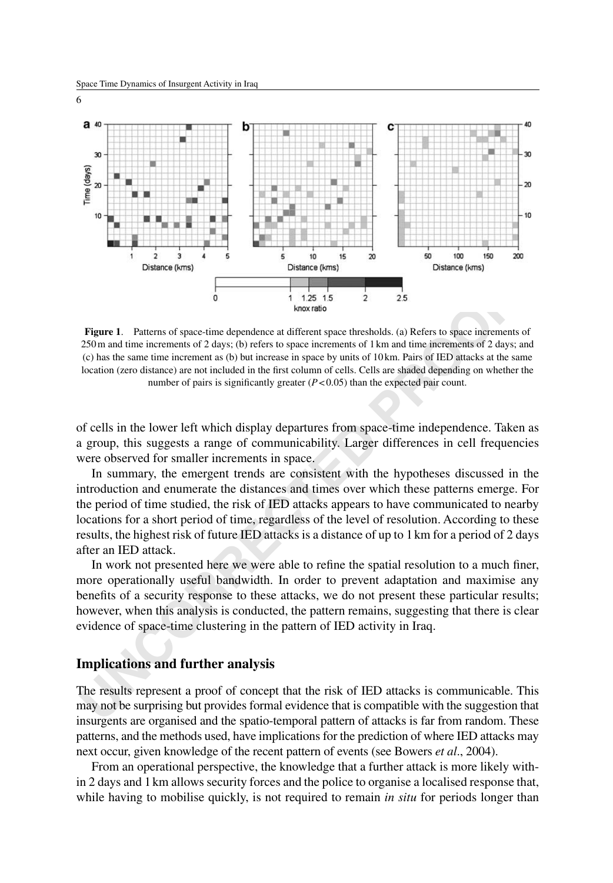

**Figure 1** . Patterns of space-time dependence at different space thresholds. (a) Refers to space increments of 250 m and time increments of 2 days; (b) refers to space increments of 1 km and time increments of 2 days; and (c) has the same time increment as (b) but increase in space by units of 10 km. Pairs of IED attacks at the same location (zero distance) are not included in the first column of cells. Cells are shaded depending on whether the number of pairs is significantly greater  $(P<0.05)$  than the expected pair count.

of cells in the lower left which display departures from space-time independence. Taken as a group, this suggests a range of communicability. Larger differences in cell frequencies were observed for smaller increments in space.

Figure 1. Patterns of space-time dependence different space thresholds, (a) Refers to space increments 250m and time increments of 2 days; (b) refers to space increments of 1 days (b) refers to space increments of 1 km and In summary, the emergent trends are consistent with the hypotheses discussed in the introduction and enumerate the distances and times over which these patterns emerge. For the period of time studied, the risk of IED attacks appears to have communicated to nearby locations for a short period of time, regardless of the level of resolution. According to these results, the highest risk of future IED attacks is a distance of up to 1 km for a period of 2 days after an IED attack.

In work not presented here we were able to refine the spatial resolution to a much finer, more operationally useful bandwidth. In order to prevent adaptation and maximise any benefits of a security response to these attacks, we do not present these particular results; however, when this analysis is conducted, the pattern remains, suggesting that there is clear evidence of space-time clustering in the pattern of IED activity in Iraq.

## **Implications and further analysis**

 The results represent a proof of concept that the risk of IED attacks is communicable. This may not be surprising but provides formal evidence that is compatible with the suggestion that insurgents are organised and the spatio-temporal pattern of attacks is far from random. These patterns, and the methods used, have implications for the prediction of where IED attacks may next occur, given knowledge of the recent pattern of events (see Bowers *et al.*, 2004).

 From an operational perspective, the knowledge that a further attack is more likely within 2 days and 1 km allows security forces and the police to organise a localised response that, while having to mobilise quickly, is not required to remain *in situ* for periods longer than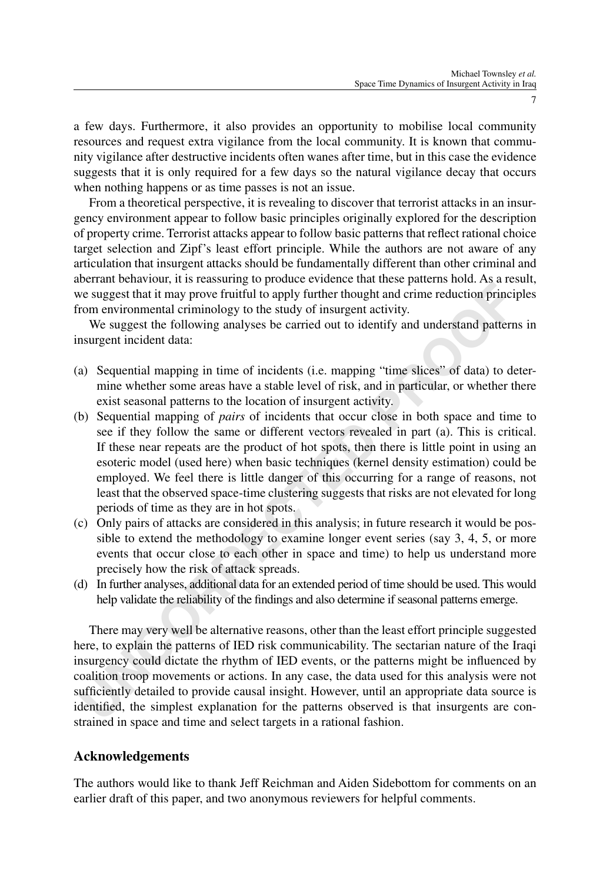a few days. Furthermore, it also provides an opportunity to mobilise local community resources and request extra vigilance from the local community. It is known that community vigilance after destructive incidents often wanes after time, but in this case the evidence suggests that it is only required for a few days so the natural vigilance decay that occurs when nothing happens or as time passes is not an issue.

 From a theoretical perspective, it is revealing to discover that terrorist attacks in an insurgency environment appear to follow basic principles originally explored for the description of property crime. Terrorist attacks appear to follow basic patterns that reflect rational choice target selection and Zipf's least effort principle. While the authors are not aware of any articulation that insurgent attacks should be fundamentally different than other criminal and aberrant behaviour, it is reassuring to produce evidence that these patterns hold. As a result, we suggest that it may prove fruitful to apply further thought and crime reduction principles from environmental criminology to the study of insurgent activity.

 We suggest the following analyses be carried out to identify and understand patterns in insurgent incident data:

- (a) Sequential mapping in time of incidents (i.e. mapping " time slices " of data) to determine whether some areas have a stable level of risk, and in particular, or whether there exist seasonal patterns to the location of insurgent activity.
- External terminology to the study of the study of the study of the study of the study of insurgent that it may prove fruitful to apply further thought and crime reduction principle or the suggest the following analyses be (b) Sequential mapping of *pairs* of incidents that occur close in both space and time to see if they follow the same or different vectors revealed in part (a). This is critical. If these near repeats are the product of hot spots, then there is little point in using an esoteric model (used here) when basic techniques (kernel density estimation) could be employed. We feel there is little danger of this occurring for a range of reasons, not least that the observed space-time clustering suggests that risks are not elevated for long periods of time as they are in hot spots.
- (c) Only pairs of attacks are considered in this analysis; in future research it would be possible to extend the methodology to examine longer event series (say 3, 4, 5, or more events that occur close to each other in space and time) to help us understand more precisely how the risk of attack spreads.
- (d) In further analyses, additional data for an extended period of time should be used. This would help validate the reliability of the findings and also determine if seasonal patterns emerge.

 There may very well be alternative reasons, other than the least effort principle suggested here, to explain the patterns of IED risk communicability. The sectarian nature of the Iraqi insurgency could dictate the rhythm of IED events, or the patterns might be influenced by coalition troop movements or actions. In any case, the data used for this analysis were not sufficiently detailed to provide causal insight. However, until an appropriate data source is identified, the simplest explanation for the patterns observed is that insurgents are constrained in space and time and select targets in a rational fashion.

#### **Acknowledgements**

 The authors would like to thank Jeff Reichman and Aiden Sidebottom for comments on an earlier draft of this paper, and two anonymous reviewers for helpful comments.